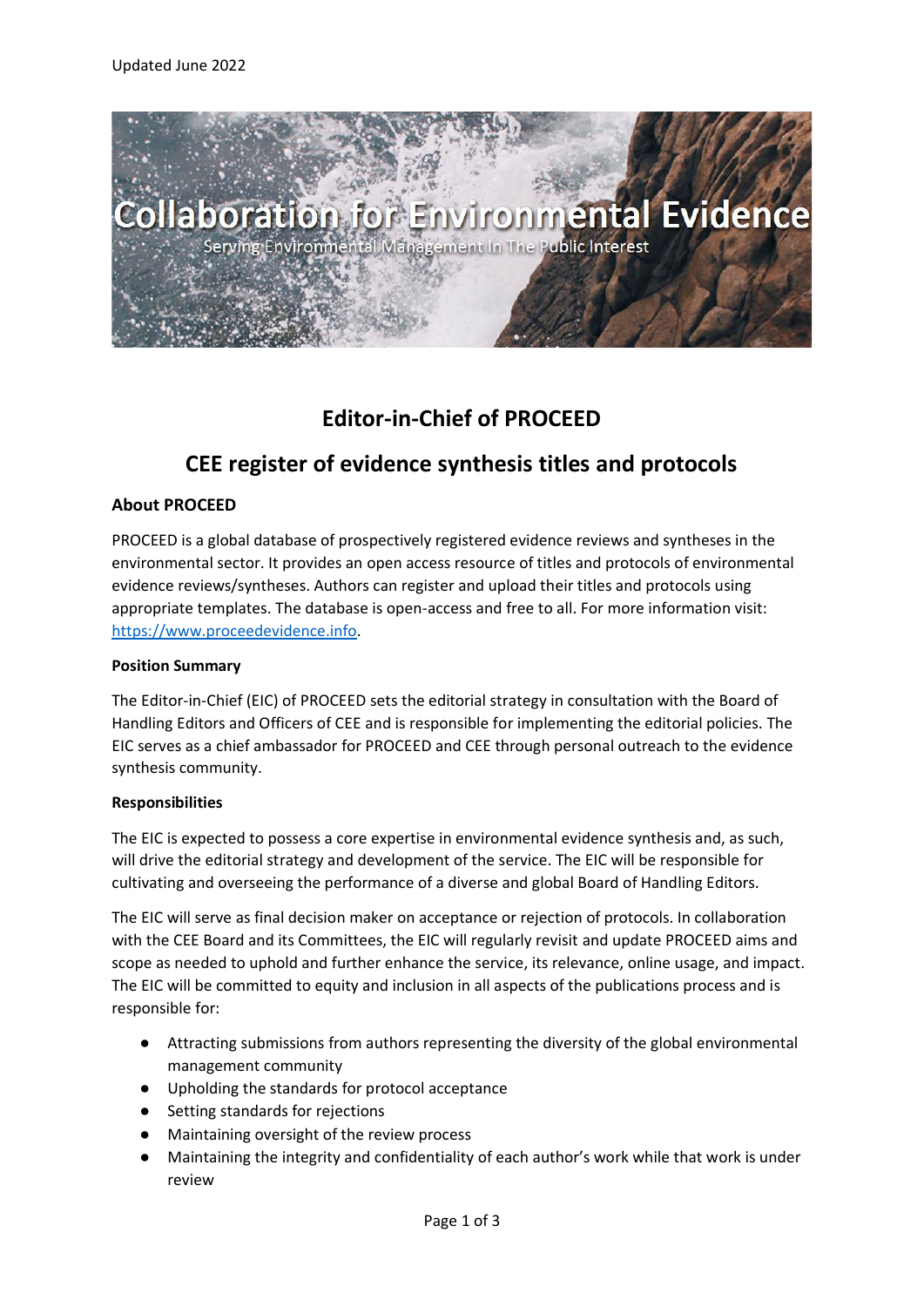

# **Editor-in-Chief of PROCEED**

## **CEE register of evidence synthesis titles and protocols**

## **About PROCEED**

PROCEED is a global database of prospectively registered evidence reviews and syntheses in the environmental sector. It provides an open access resource of titles and protocols of environmental evidence reviews/syntheses. Authors can register and upload their titles and protocols using appropriate templates. The database is open-access and free to all. For more information visit: [https://www.proceedevidence.info.](https://www.proceedevidence.info/)

## **Position Summary**

The Editor-in-Chief (EIC) of PROCEED sets the editorial strategy in consultation with the Board of Handling Editors and Officers of CEE and is responsible for implementing the editorial policies. The EIC serves as a chief ambassador for PROCEED and CEE through personal outreach to the evidence synthesis community.

#### **Responsibilities**

The EIC is expected to possess a core expertise in environmental evidence synthesis and, as such, will drive the editorial strategy and development of the service. The EIC will be responsible for cultivating and overseeing the performance of a diverse and global Board of Handling Editors.

The EIC will serve as final decision maker on acceptance or rejection of protocols. In collaboration with the CEE Board and its Committees, the EIC will regularly revisit and update PROCEED aims and scope as needed to uphold and further enhance the service, its relevance, online usage, and impact. The EIC will be committed to equity and inclusion in all aspects of the publications process and is responsible for:

- Attracting submissions from authors representing the diversity of the global environmental management community
- Upholding the standards for protocol acceptance
- Setting standards for rejections
- Maintaining oversight of the review process
- Maintaining the integrity and confidentiality of each author's work while that work is under review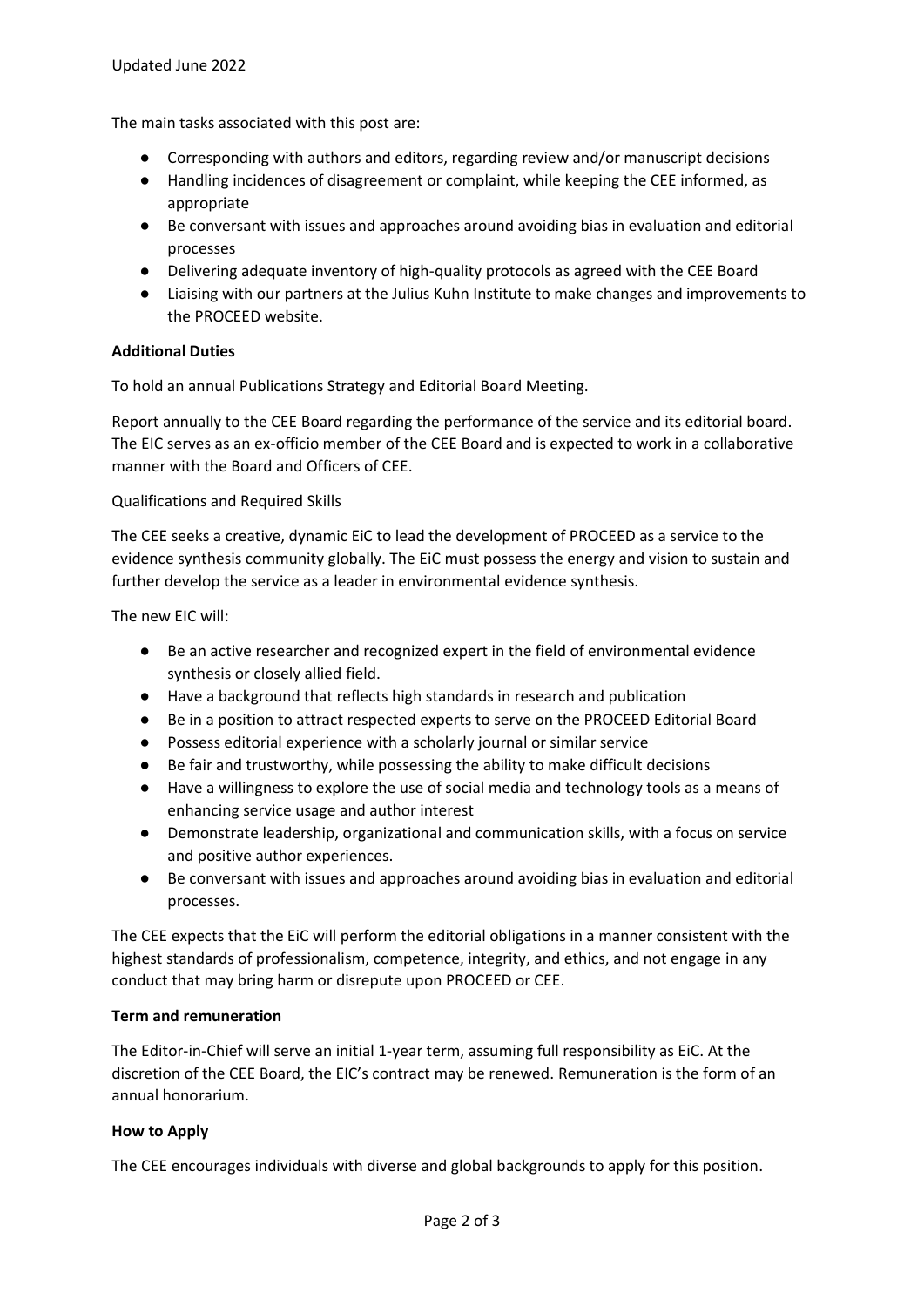The main tasks associated with this post are:

- Corresponding with authors and editors, regarding review and/or manuscript decisions
- Handling incidences of disagreement or complaint, while keeping the CEE informed, as appropriate
- Be conversant with issues and approaches around avoiding bias in evaluation and editorial processes
- Delivering adequate inventory of high-quality protocols as agreed with the CEE Board
- Liaising with our partners at the Julius Kuhn Institute to make changes and improvements to the PROCEED website.

#### **Additional Duties**

To hold an annual Publications Strategy and Editorial Board Meeting.

Report annually to the CEE Board regarding the performance of the service and its editorial board. The EIC serves as an ex-officio member of the CEE Board and is expected to work in a collaborative manner with the Board and Officers of CEE.

#### Qualifications and Required Skills

The CEE seeks a creative, dynamic EiC to lead the development of PROCEED as a service to the evidence synthesis community globally. The EiC must possess the energy and vision to sustain and further develop the service as a leader in environmental evidence synthesis.

The new EIC will:

- Be an active researcher and recognized expert in the field of environmental evidence synthesis or closely allied field.
- Have a background that reflects high standards in research and publication
- Be in a position to attract respected experts to serve on the PROCEED Editorial Board
- Possess editorial experience with a scholarly journal or similar service
- Be fair and trustworthy, while possessing the ability to make difficult decisions
- Have a willingness to explore the use of social media and technology tools as a means of enhancing service usage and author interest
- Demonstrate leadership, organizational and communication skills, with a focus on service and positive author experiences.
- Be conversant with issues and approaches around avoiding bias in evaluation and editorial processes.

The CEE expects that the EiC will perform the editorial obligations in a manner consistent with the highest standards of professionalism, competence, integrity, and ethics, and not engage in any conduct that may bring harm or disrepute upon PROCEED or CEE.

#### **Term and remuneration**

The Editor-in-Chief will serve an initial 1-year term, assuming full responsibility as EiC. At the discretion of the CEE Board, the EIC's contract may be renewed. Remuneration is the form of an annual honorarium.

#### **How to Apply**

The CEE encourages individuals with diverse and global backgrounds to apply for this position.